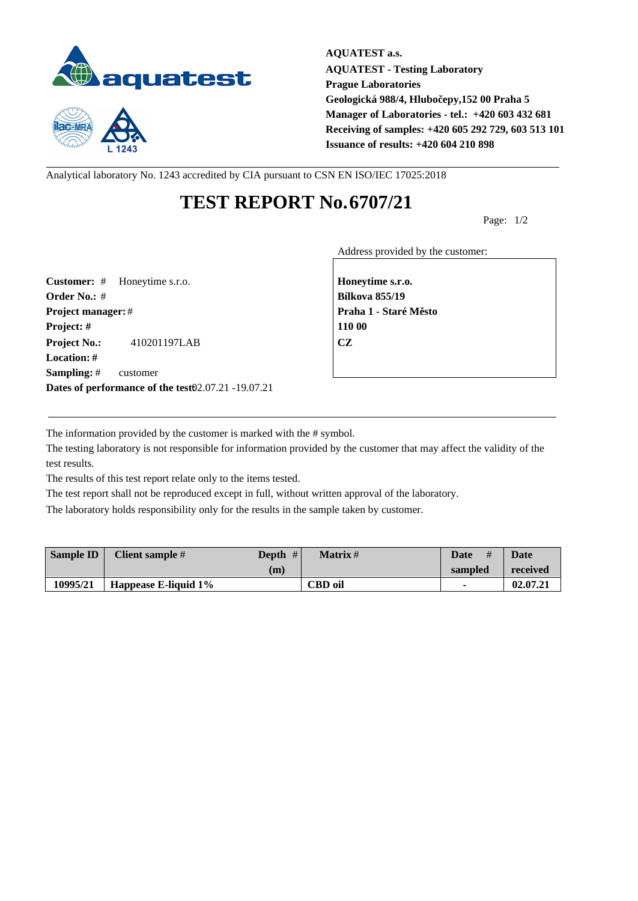



**AQUATEST a.s. AQUATEST - Testing Laboratory Prague Laboratories Geologická 988/4, Hlubočepy,152 00 Praha 5 Manager of Laboratories - tel.: +420 603 432 681 Receiving of samples: +420 605 292 729, 603 513 101 Issuance of results: +420 604 210 898**

Analytical laboratory No. 1243 accredited by CIA pursuant to CSN EN ISO/IEC 17025:2018

## **TEST REPORT No.6707/21**

Page: 1/2

Address provided by the customer:

**Customer:** # Honeytime s.r.o. **Honeytime s.r.o. Order No.:** # **Bílkova 855/19 Project manager:** # **Project manager:** # **Praha 1 - Staré M** sto **Project: # 110 00 Project No.:** 410201197LAB **CZ Location: # Sampling:** # customer **Dates of performance of the test:**02.07.21 -19.07.21

The information provided by the customer is marked with the # symbol.

The testing laboratory is not responsible for information provided by the customer that may affect the validity of the test results.

The results of this test report relate only to the items tested.

The test report shall not be reproduced except in full, without written approval of the laboratory.

The laboratory holds responsibility only for the results in the sample taken by customer.

| <b>Sample ID</b> | Client sample #       | #<br>Depth | Matrix #       | #<br><b>Date</b> | <b>Date</b> |
|------------------|-----------------------|------------|----------------|------------------|-------------|
|                  |                       | (m)        |                | sampled          | received    |
| 10995/21         | Happease E-liquid 1\% |            | <b>CBD</b> oil |                  | 02.07.21    |